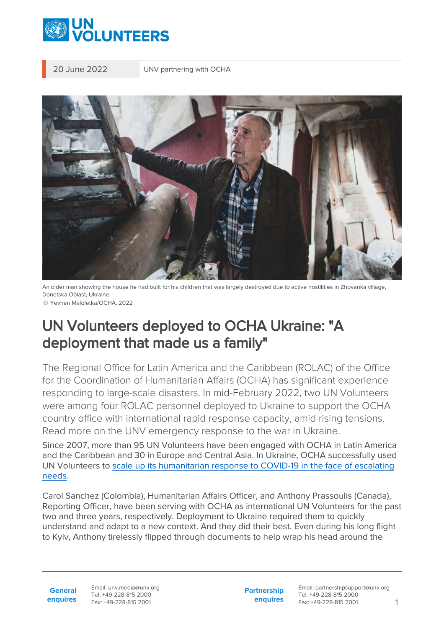

20 June 2022 UNV partnering with OCHA



An older man showing the house he had built for his children that was largely destroyed due to active hostilities in Zhovanka village, Donetska Oblast, Ukraine. © Yevhen Maloletka/OCHA, 2022

## UN Volunteers deployed to OCHA Ukraine: "A deployment that made us a family"

The Regional Office for Latin America and the Caribbean (ROLAC) of the Office for the Coordination of Humanitarian Affairs (OCHA) has significant experience responding to large-scale disasters. In mid-February 2022, two UN Volunteers were among four ROLAC personnel deployed to Ukraine to support the OCHA country office with international rapid response capacity, amid rising tensions. Read more on the UNV emergency response to the war in Ukraine.

Since 2007, more than 95 UN Volunteers have been engaged with OCHA in Latin America and the Caribbean and 30 in Europe and Central Asia. In Ukraine, OCHA successfully used UN Volunteers to [scale up its humanitarian response to COVID-19 in the face of escalating](https://www.unv.org/Success-stories/volunteering-support-humanitarian-response-eastern-ukraine-amidst-covid-19-pandemic) [needs.](https://www.unv.org/Success-stories/volunteering-support-humanitarian-response-eastern-ukraine-amidst-covid-19-pandemic)

Carol Sanchez (Colombia), Humanitarian Affairs Officer, and Anthony Prassoulis (Canada), Reporting Officer, have been serving with OCHA as international UN Volunteers for the past two and three years, respectively. Deployment to Ukraine required them to quickly understand and adapt to a new context. And they did their best. Even during his long flight to Kyiv, Anthony tirelessly flipped through documents to help wrap his head around the

**General enquires** Email: unv.media@unv.org Tel: +49-228-815 2000 Fax: +49-228-815 2001

**Partnership enquires** Email: partnershipsupport@unv.org Tel: +49-228-815 2000 Fax: +49-228-815 2001 1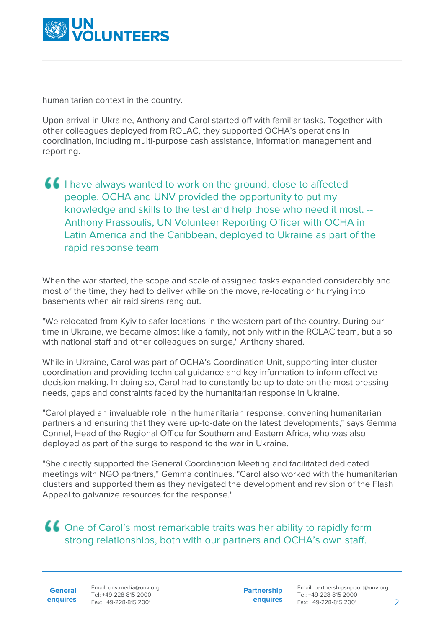

humanitarian context in the country.

Upon arrival in Ukraine, Anthony and Carol started off with familiar tasks. Together with other colleagues deployed from ROLAC, they supported OCHA's operations in coordination, including multi-purpose cash assistance, information management and reporting.

I have always wanted to work on the ground, close to affected people. OCHA and UNV provided the opportunity to put my knowledge and skills to the test and help those who need it most. -- Anthony Prassoulis, UN Volunteer Reporting Officer with OCHA in Latin America and the Caribbean, deployed to Ukraine as part of the rapid response team

When the war started, the scope and scale of assigned tasks expanded considerably and most of the time, they had to deliver while on the move, re-locating or hurrying into basements when air raid sirens rang out.

"We relocated from Kyiv to safer locations in the western part of the country. During our time in Ukraine, we became almost like a family, not only within the ROLAC team, but also with national staff and other colleagues on surge," Anthony shared.

While in Ukraine, Carol was part of OCHA's Coordination Unit, supporting inter-cluster coordination and providing technical guidance and key information to inform effective decision-making. In doing so, Carol had to constantly be up to date on the most pressing needs, gaps and constraints faced by the humanitarian response in Ukraine.

"Carol played an invaluable role in the humanitarian response, convening humanitarian partners and ensuring that they were up-to-date on the latest developments," says Gemma Connel, Head of the Regional Office for Southern and Eastern Africa, who was also deployed as part of the surge to respond to the war in Ukraine.

"She directly supported the General Coordination Meeting and facilitated dedicated meetings with NGO partners," Gemma continues. "Carol also worked with the humanitarian clusters and supported them as they navigated the development and revision of the Flash Appeal to galvanize resources for the response."

One of Carol's most remarkable traits was her ability to rapidly form strong relationships, both with our partners and OCHA's own staff.

**General**

**Partnership enquires**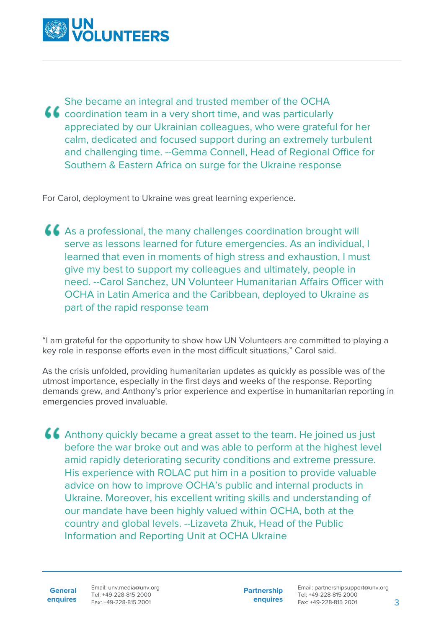

She became an integral and trusted member of the OCHA **CC** coordination team in a very short time, and was particularly appreciated by our Ukrainian colleagues, who were grateful for her calm, dedicated and focused support during an extremely turbulent and challenging time. --Gemma Connell, Head of Regional Office for Southern & Eastern Africa on surge for the Ukraine response

For Carol, deployment to Ukraine was great learning experience.

As a professional, the many challenges coordination brought will serve as lessons learned for future emergencies. As an individual, I learned that even in moments of high stress and exhaustion, I must give my best to support my colleagues and ultimately, people in need. --Carol Sanchez, UN Volunteer Humanitarian Affairs Officer with OCHA in Latin America and the Caribbean, deployed to Ukraine as part of the rapid response team

"I am grateful for the opportunity to show how UN Volunteers are committed to playing a key role in response efforts even in the most difficult situations," Carol said.

As the crisis unfolded, providing humanitarian updates as quickly as possible was of the utmost importance, especially in the first days and weeks of the response. Reporting demands grew, and Anthony's prior experience and expertise in humanitarian reporting in emergencies proved invaluable.

Anthony quickly became a great asset to the team. He joined us just before the war broke out and was able to perform at the highest level amid rapidly deteriorating security conditions and extreme pressure. His experience with ROLAC put him in a position to provide valuable advice on how to improve OCHA's public and internal products in Ukraine. Moreover, his excellent writing skills and understanding of our mandate have been highly valued within OCHA, both at the country and global levels. --Lizaveta Zhuk, Head of the Public Information and Reporting Unit at OCHA Ukraine

**General enquires** Email: unv.media@unv.org Tel: +49-228-815 2000 Fax: +49-228-815 2001

**Partnership enquires**

Email: partnershipsupport@unv.org Tel: +49-228-815 2000 Fax: +49-228-815 2001 3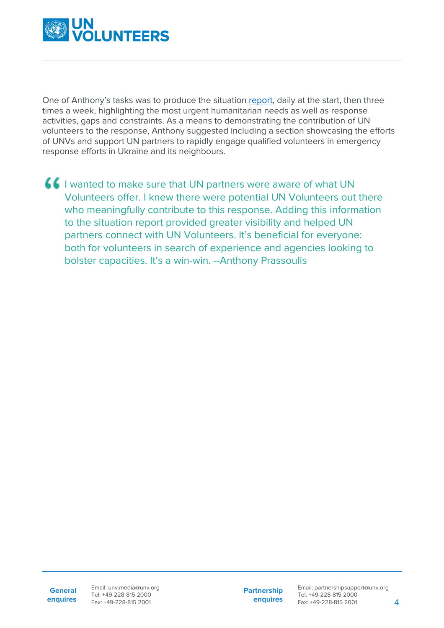

One of Anthony's tasks was to produce the situation [report](https://reports.unocha.org/en/country/ukraine), daily at the start, then three times a week, highlighting the most urgent humanitarian needs as well as response activities, gaps and constraints. As a means to demonstrating the contribution of UN volunteers to the response, Anthony suggested including a section showcasing the efforts of UNVs and support UN partners to rapidly engage qualified volunteers in emergency response efforts in Ukraine and its neighbours.

I wanted to make sure that UN partners were aware of what UN Volunteers offer. I knew there were potential UN Volunteers out there who meaningfully contribute to this response. Adding this information to the situation report provided greater visibility and helped UN partners connect with UN Volunteers. It's beneficial for everyone: both for volunteers in search of experience and agencies looking to bolster capacities. It's a win-win. --Anthony Prassoulis

**Partnership enquires**